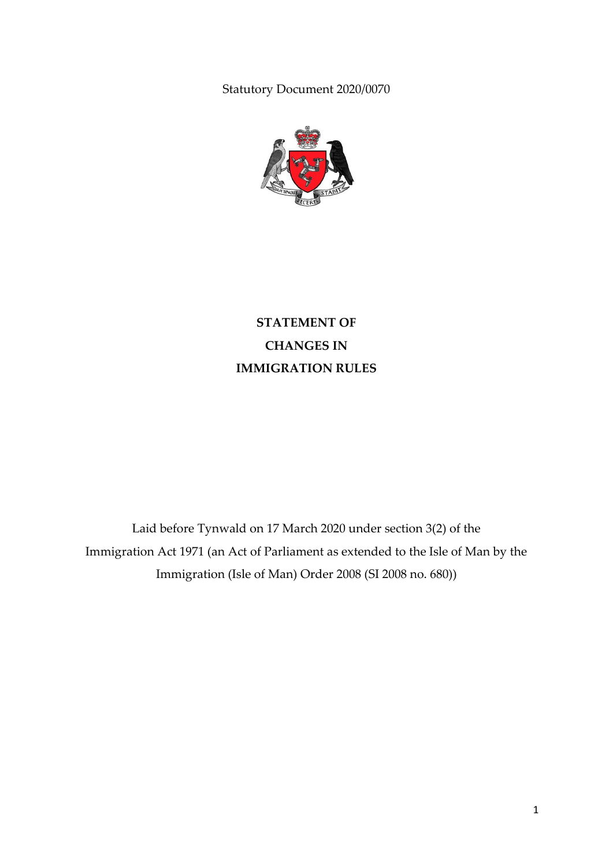Statutory Document 2020/0070



**STATEMENT OF CHANGES IN IMMIGRATION RULES**

Laid before Tynwald on 17 March 2020 under section 3(2) of the Immigration Act 1971 (an Act of Parliament as extended to the Isle of Man by the Immigration (Isle of Man) Order 2008 (SI 2008 no. 680))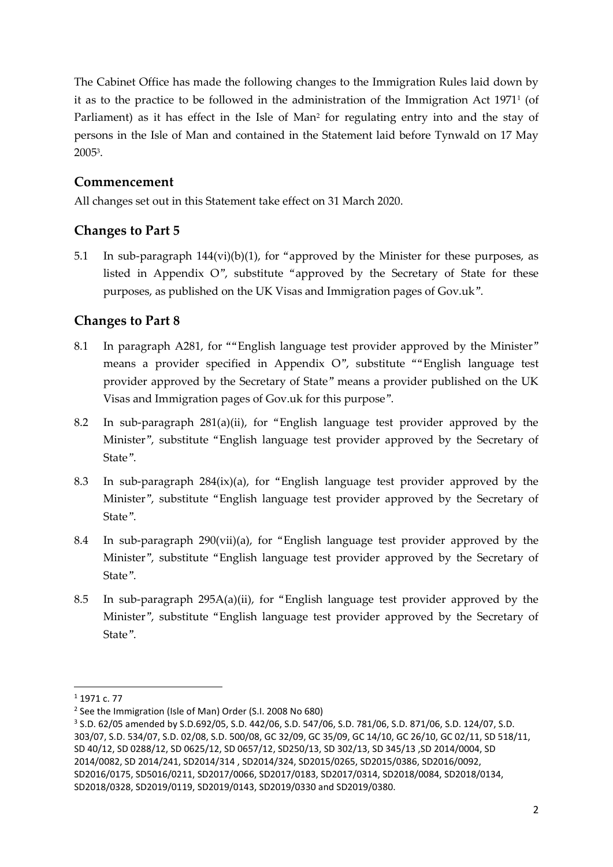The Cabinet Office has made the following changes to the Immigration Rules laid down by it as to the practice to be followed in the administration of the Immigration Act  $1971^{\mathrm{\scriptscriptstyle I}}$  (of Parliament) as it has effect in the Isle of Man<sup>2</sup> for regulating entry into and the stay of persons in the Isle of Man and contained in the Statement laid before Tynwald on 17 May 2005<sup>3</sup> .

# **Commencement**

All changes set out in this Statement take effect on 31 March 2020.

# **Changes to Part 5**

5.1 In sub-paragraph  $144(vi)(b)(1)$ , for "approved by the Minister for these purposes, as listed in Appendix O", substitute "approved by the Secretary of State for these purposes, as published on the UK Visas and Immigration pages of Gov.uk".

# **Changes to Part 8**

- 8.1 In paragraph A281, for ""English language test provider approved by the Minister" means a provider specified in Appendix O", substitute ""English language test provider approved by the Secretary of State" means a provider published on the UK Visas and Immigration pages of Gov.uk for this purpose".
- 8.2 In sub-paragraph 281(a)(ii), for "English language test provider approved by the Minister", substitute "English language test provider approved by the Secretary of State".
- 8.3 In sub-paragraph 284(ix)(a), for "English language test provider approved by the Minister", substitute "English language test provider approved by the Secretary of State".
- 8.4 In sub-paragraph 290(vii)(a), for "English language test provider approved by the Minister", substitute "English language test provider approved by the Secretary of State".
- 8.5 In sub-paragraph 295A(a)(ii), for "English language test provider approved by the Minister", substitute "English language test provider approved by the Secretary of State".

1

 $1$  1971 c. 77

<sup>&</sup>lt;sup>2</sup> See the Immigration (Isle of Man) Order (S.I. 2008 No 680)

<sup>3</sup> S.D. 62/05 amended by S.D.692/05, S.D. 442/06, S.D. 547/06, S.D. 781/06, S.D. 871/06, S.D. 124/07, S.D. 303/07, S.D. 534/07, S.D. 02/08, S.D. 500/08, GC 32/09, GC 35/09, GC 14/10, GC 26/10, GC 02/11, SD 518/11, SD 40/12, SD 0288/12, SD 0625/12, SD 0657/12, SD250/13, SD 302/13, SD 345/13 ,SD 2014/0004, SD 2014/0082, SD 2014/241, SD2014/314 , SD2014/324, SD2015/0265, SD2015/0386, SD2016/0092, SD2016/0175, SD5016/0211, SD2017/0066, SD2017/0183, SD2017/0314, SD2018/0084, SD2018/0134, SD2018/0328, SD2019/0119, SD2019/0143, SD2019/0330 and SD2019/0380.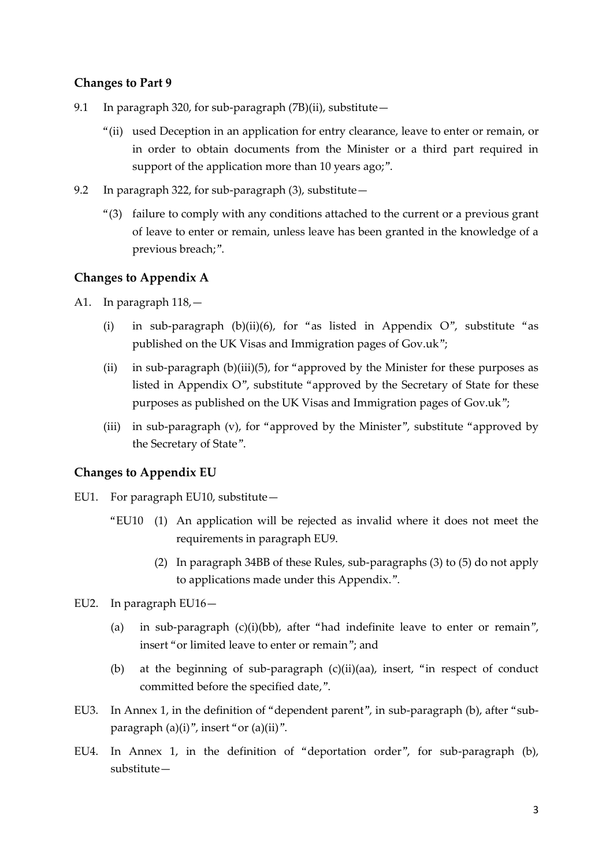### **Changes to Part 9**

- 9.1 In paragraph 320, for sub-paragraph  $(7B)(ii)$ , substitute -
	- "(ii) used Deception in an application for entry clearance, leave to enter or remain, or in order to obtain documents from the Minister or a third part required in support of the application more than 10 years ago;".
- 9.2 In paragraph 322, for sub-paragraph (3), substitute—
	- "(3) failure to comply with any conditions attached to the current or a previous grant of leave to enter or remain, unless leave has been granted in the knowledge of a previous breach;".

### **Changes to Appendix A**

- A1. In paragraph 118,—
	- (i) in sub-paragraph (b)(ii)(6), for "as listed in Appendix  $O$ ", substitute "as published on the UK Visas and Immigration pages of Gov.uk";
	- (ii) in sub-paragraph (b)(iii)(5), for "approved by the Minister for these purposes as listed in Appendix O", substitute "approved by the Secretary of State for these purposes as published on the UK Visas and Immigration pages of Gov.uk";
	- (iii) in sub-paragraph (v), for "approved by the Minister", substitute "approved by the Secretary of State".

### **Changes to Appendix EU**

- EU1. For paragraph EU10, substitute—
	- "EU10 (1) An application will be rejected as invalid where it does not meet the requirements in paragraph EU9.
		- (2) In paragraph 34BB of these Rules, sub-paragraphs (3) to (5) do not apply to applications made under this Appendix.".
- EU2. In paragraph EU16—
	- (a) in sub-paragraph  $(c)(i)(bb)$ , after "had indefinite leave to enter or remain", insert "or limited leave to enter or remain"; and
	- (b) at the beginning of sub-paragraph (c)(ii)(aa), insert, "in respect of conduct committed before the specified date,".
- EU3. In Annex 1, in the definition of "dependent parent", in sub-paragraph (b), after "subparagraph (a)(i)", insert "or (a)(ii)".
- EU4. In Annex 1, in the definition of "deportation order", for sub-paragraph (b), substitute—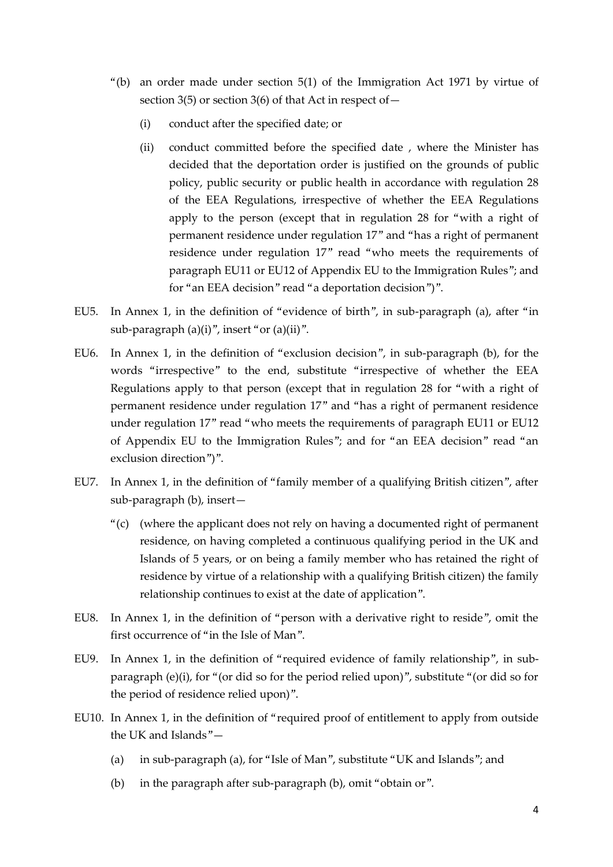- "(b) an order made under section 5(1) of the Immigration Act 1971 by virtue of section 3(5) or section 3(6) of that Act in respect of  $-$ 
	- (i) conduct after the specified date; or
	- (ii) conduct committed before the specified date , where the Minister has decided that the deportation order is justified on the grounds of public policy, public security or public health in accordance with regulation 28 of the EEA Regulations, irrespective of whether the EEA Regulations apply to the person (except that in regulation 28 for "with a right of permanent residence under regulation 17" and "has a right of permanent residence under regulation 17" read "who meets the requirements of paragraph EU11 or EU12 of Appendix EU to the Immigration Rules"; and for "an EEA decision" read "a deportation decision")".
- EU5. In Annex 1, in the definition of "evidence of birth", in sub-paragraph (a), after "in sub-paragraph  $(a)(i)$ ", insert "or  $(a)(ii)$ ".
- EU6. In Annex 1, in the definition of "exclusion decision", in sub-paragraph (b), for the words "irrespective" to the end, substitute "irrespective of whether the EEA Regulations apply to that person (except that in regulation 28 for "with a right of permanent residence under regulation 17" and "has a right of permanent residence under regulation 17" read "who meets the requirements of paragraph EU11 or EU12 of Appendix EU to the Immigration Rules"; and for "an EEA decision" read "an exclusion direction")".
- EU7. In Annex 1, in the definition of "family member of a qualifying British citizen", after sub-paragraph (b), insert—
	- "(c) (where the applicant does not rely on having a documented right of permanent residence, on having completed a continuous qualifying period in the UK and Islands of 5 years, or on being a family member who has retained the right of residence by virtue of a relationship with a qualifying British citizen) the family relationship continues to exist at the date of application".
- EU8. In Annex 1, in the definition of "person with a derivative right to reside", omit the first occurrence of "in the Isle of Man".
- EU9. In Annex 1, in the definition of "required evidence of family relationship", in subparagraph (e)(i), for "(or did so for the period relied upon)", substitute "(or did so for the period of residence relied upon)".
- EU10. In Annex 1, in the definition of "required proof of entitlement to apply from outside the UK and Islands"—
	- (a) in sub-paragraph (a), for "Isle of Man", substitute "UK and Islands"; and
	- (b) in the paragraph after sub-paragraph (b), omit "obtain or".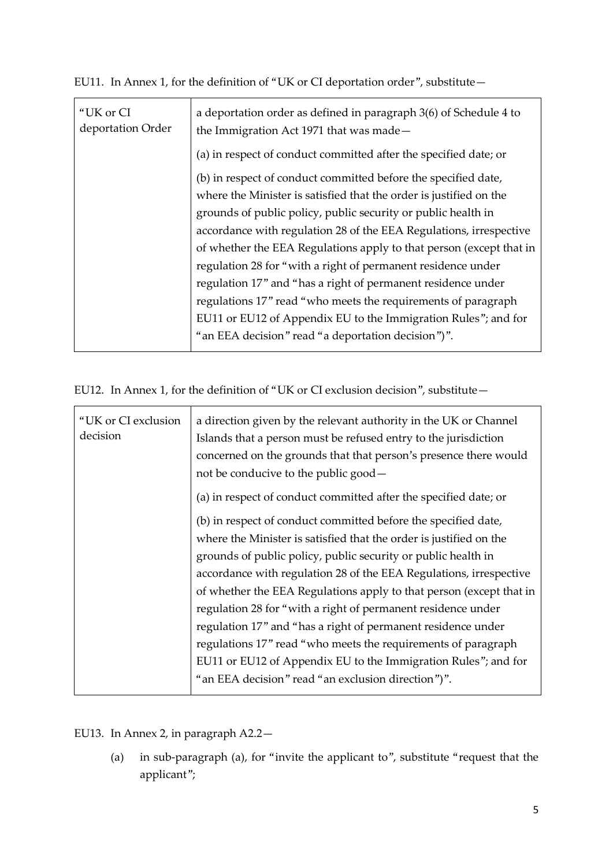EU11. In Annex 1, for the definition of "UK or CI deportation order", substitute—

| "UK or CI<br>deportation Order | a deportation order as defined in paragraph 3(6) of Schedule 4 to<br>the Immigration Act 1971 that was made- |
|--------------------------------|--------------------------------------------------------------------------------------------------------------|
|                                | (a) in respect of conduct committed after the specified date; or                                             |
|                                | (b) in respect of conduct committed before the specified date,                                               |
|                                | where the Minister is satisfied that the order is justified on the                                           |
|                                | grounds of public policy, public security or public health in                                                |
|                                | accordance with regulation 28 of the EEA Regulations, irrespective                                           |
|                                | of whether the EEA Regulations apply to that person (except that in                                          |
|                                | regulation 28 for "with a right of permanent residence under                                                 |
|                                | regulation 17" and "has a right of permanent residence under                                                 |
|                                | regulations 17" read "who meets the requirements of paragraph                                                |
|                                | EU11 or EU12 of Appendix EU to the Immigration Rules"; and for                                               |
|                                | "an EEA decision" read "a deportation decision")".                                                           |

EU12. In Annex 1, for the definition of "UK or CI exclusion decision", substitute—

| "UK or CI exclusion<br>decision | a direction given by the relevant authority in the UK or Channel<br>Islands that a person must be refused entry to the jurisdiction |
|---------------------------------|-------------------------------------------------------------------------------------------------------------------------------------|
|                                 | concerned on the grounds that that person's presence there would<br>not be conducive to the public good -                           |
|                                 | (a) in respect of conduct committed after the specified date; or                                                                    |
|                                 | (b) in respect of conduct committed before the specified date,                                                                      |
|                                 | where the Minister is satisfied that the order is justified on the                                                                  |
|                                 | grounds of public policy, public security or public health in                                                                       |
|                                 | accordance with regulation 28 of the EEA Regulations, irrespective                                                                  |
|                                 | of whether the EEA Regulations apply to that person (except that in                                                                 |
|                                 | regulation 28 for "with a right of permanent residence under                                                                        |
|                                 | regulation 17" and "has a right of permanent residence under                                                                        |
|                                 | regulations 17" read "who meets the requirements of paragraph                                                                       |
|                                 | EU11 or EU12 of Appendix EU to the Immigration Rules"; and for                                                                      |
|                                 | "an EEA decision" read "an exclusion direction")".                                                                                  |
|                                 |                                                                                                                                     |

EU13. In Annex 2, in paragraph A2.2—

(a) in sub-paragraph (a), for "invite the applicant to", substitute "request that the applicant";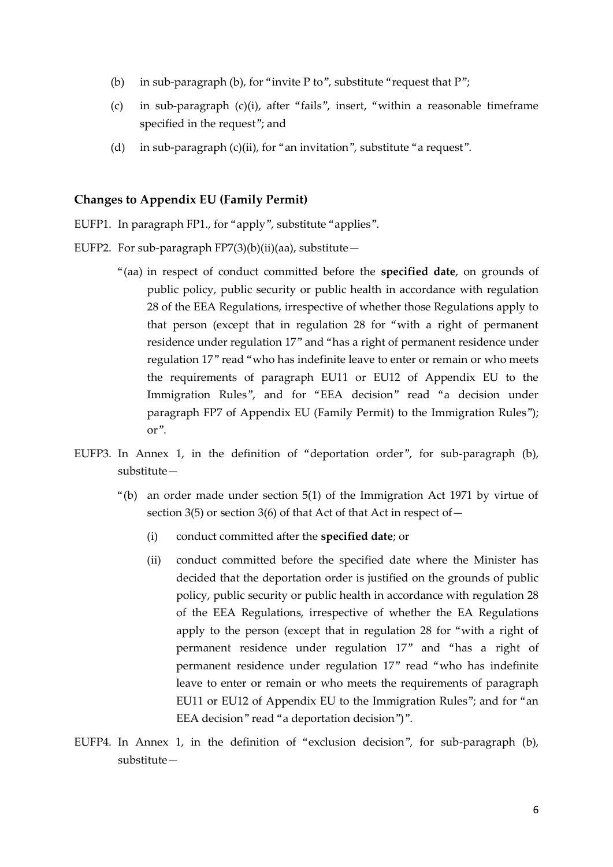- (b) in sub-paragraph (b), for "invite P to", substitute "request that  $P$ ";
- (c) in sub-paragraph (c)(i), after "fails", insert, "within a reasonable timeframe specified in the request"; and
- (d) in sub-paragraph (c)(ii), for "an invitation", substitute "a request".

#### **Changes to Appendix EU (Family Permit)**

- EUFP1. In paragraph FP1., for "apply", substitute "applies".
- EUFP2. For sub-paragraph FP7(3)(b)(ii)(aa), substitute $-$ 
	- "(aa) in respect of conduct committed before the **specified date**, on grounds of public policy, public security or public health in accordance with regulation 28 of the EEA Regulations, irrespective of whether those Regulations apply to that person (except that in regulation 28 for "with a right of permanent residence under regulation 17" and "has a right of permanent residence under regulation 17" read "who has indefinite leave to enter or remain or who meets the requirements of paragraph EU11 or EU12 of Appendix EU to the Immigration Rules", and for "EEA decision" read "a decision under paragraph FP7 of Appendix EU (Family Permit) to the Immigration Rules"); or".
- EUFP3. In Annex 1, in the definition of "deportation order", for sub-paragraph (b), substitute—
	- "(b) an order made under section 5(1) of the Immigration Act 1971 by virtue of section 3(5) or section 3(6) of that Act of that Act in respect of  $-$ 
		- (i) conduct committed after the **specified date**; or
		- (ii) conduct committed before the specified date where the Minister has decided that the deportation order is justified on the grounds of public policy, public security or public health in accordance with regulation 28 of the EEA Regulations, irrespective of whether the EA Regulations apply to the person (except that in regulation 28 for "with a right of permanent residence under regulation 17" and "has a right of permanent residence under regulation 17" read "who has indefinite leave to enter or remain or who meets the requirements of paragraph EU11 or EU12 of Appendix EU to the Immigration Rules"; and for "an EEA decision" read "a deportation decision")".
- EUFP4. In Annex 1, in the definition of "exclusion decision", for sub-paragraph (b), substitute—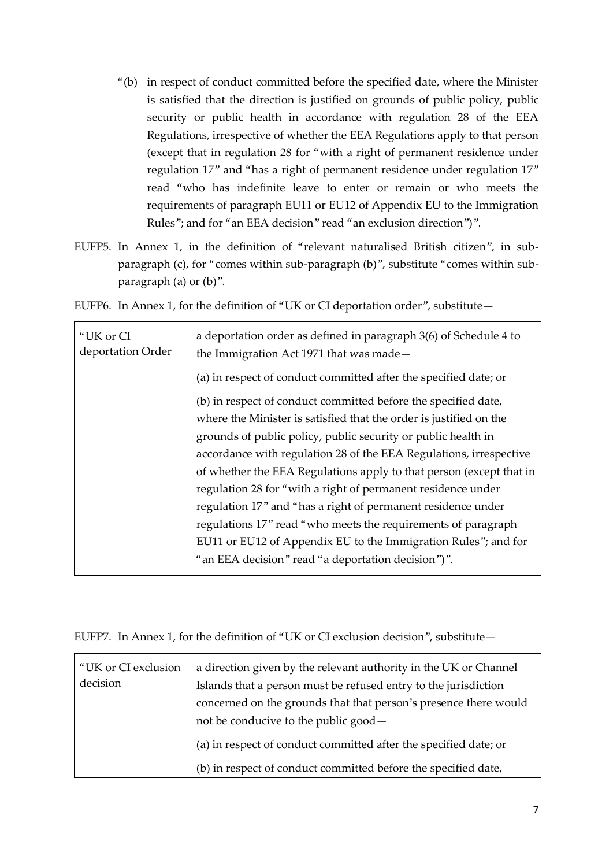- "(b) in respect of conduct committed before the specified date, where the Minister is satisfied that the direction is justified on grounds of public policy, public security or public health in accordance with regulation 28 of the EEA Regulations, irrespective of whether the EEA Regulations apply to that person (except that in regulation 28 for "with a right of permanent residence under regulation 17" and "has a right of permanent residence under regulation 17" read "who has indefinite leave to enter or remain or who meets the requirements of paragraph EU11 or EU12 of Appendix EU to the Immigration Rules"; and for "an EEA decision" read "an exclusion direction")".
- EUFP5. In Annex 1, in the definition of "relevant naturalised British citizen", in subparagraph (c), for "comes within sub-paragraph (b)", substitute "comes within subparagraph (a) or (b)".

EUFP6. In Annex 1, for the definition of "UK or CI deportation order", substitute—

| "UK or CI<br>deportation Order | a deportation order as defined in paragraph 3(6) of Schedule 4 to<br>the Immigration Act 1971 that was made- |  |  |
|--------------------------------|--------------------------------------------------------------------------------------------------------------|--|--|
|                                | (a) in respect of conduct committed after the specified date; or                                             |  |  |
|                                | (b) in respect of conduct committed before the specified date,                                               |  |  |
|                                | where the Minister is satisfied that the order is justified on the                                           |  |  |
|                                | grounds of public policy, public security or public health in                                                |  |  |
|                                | accordance with regulation 28 of the EEA Regulations, irrespective                                           |  |  |
|                                | of whether the EEA Regulations apply to that person (except that in                                          |  |  |
|                                | regulation 28 for "with a right of permanent residence under                                                 |  |  |
|                                | regulation 17" and "has a right of permanent residence under                                                 |  |  |
|                                | regulations 17" read "who meets the requirements of paragraph                                                |  |  |
|                                | EU11 or EU12 of Appendix EU to the Immigration Rules"; and for                                               |  |  |
|                                | "an EEA decision" read "a deportation decision")".                                                           |  |  |
|                                |                                                                                                              |  |  |

EUFP7. In Annex 1, for the definition of "UK or CI exclusion decision", substitute—

| "UK or CI exclusion | a direction given by the relevant authority in the UK or Channel |
|---------------------|------------------------------------------------------------------|
| decision            | Islands that a person must be refused entry to the jurisdiction  |
|                     | concerned on the grounds that that person's presence there would |
|                     | not be conducive to the public good —                            |
|                     | (a) in respect of conduct committed after the specified date; or |
|                     | (b) in respect of conduct committed before the specified date,   |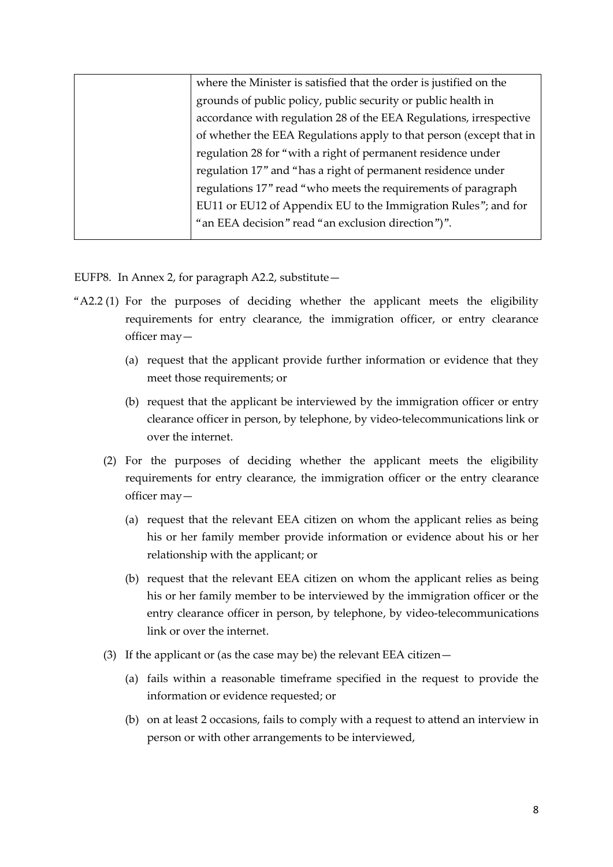| where the Minister is satisfied that the order is justified on the  |
|---------------------------------------------------------------------|
| grounds of public policy, public security or public health in       |
| accordance with regulation 28 of the EEA Regulations, irrespective  |
| of whether the EEA Regulations apply to that person (except that in |
| regulation 28 for "with a right of permanent residence under        |
| regulation 17" and "has a right of permanent residence under        |
| regulations 17" read "who meets the requirements of paragraph       |
| EU11 or EU12 of Appendix EU to the Immigration Rules"; and for      |
| "an EEA decision" read "an exclusion direction")".                  |
|                                                                     |

EUFP8. In Annex 2, for paragraph A2.2, substitute—

- "A2.2 (1) For the purposes of deciding whether the applicant meets the eligibility requirements for entry clearance, the immigration officer, or entry clearance officer may—
	- (a) request that the applicant provide further information or evidence that they meet those requirements; or
	- (b) request that the applicant be interviewed by the immigration officer or entry clearance officer in person, by telephone, by video-telecommunications link or over the internet.
	- (2) For the purposes of deciding whether the applicant meets the eligibility requirements for entry clearance, the immigration officer or the entry clearance officer may—
		- (a) request that the relevant EEA citizen on whom the applicant relies as being his or her family member provide information or evidence about his or her relationship with the applicant; or
		- (b) request that the relevant EEA citizen on whom the applicant relies as being his or her family member to be interviewed by the immigration officer or the entry clearance officer in person, by telephone, by video-telecommunications link or over the internet.
	- (3) If the applicant or (as the case may be) the relevant EEA citizen—
		- (a) fails within a reasonable timeframe specified in the request to provide the information or evidence requested; or
		- (b) on at least 2 occasions, fails to comply with a request to attend an interview in person or with other arrangements to be interviewed,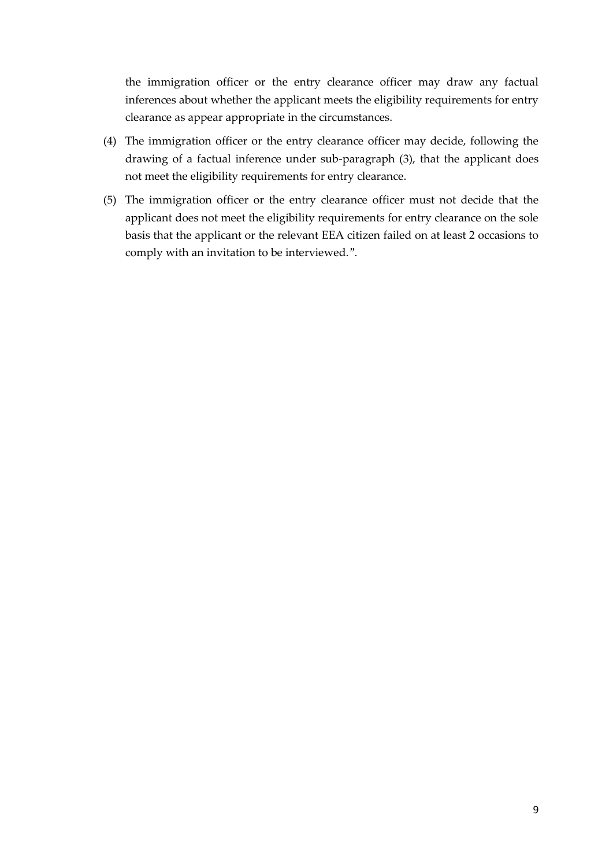the immigration officer or the entry clearance officer may draw any factual inferences about whether the applicant meets the eligibility requirements for entry clearance as appear appropriate in the circumstances.

- (4) The immigration officer or the entry clearance officer may decide, following the drawing of a factual inference under sub-paragraph (3), that the applicant does not meet the eligibility requirements for entry clearance.
- (5) The immigration officer or the entry clearance officer must not decide that the applicant does not meet the eligibility requirements for entry clearance on the sole basis that the applicant or the relevant EEA citizen failed on at least 2 occasions to comply with an invitation to be interviewed.".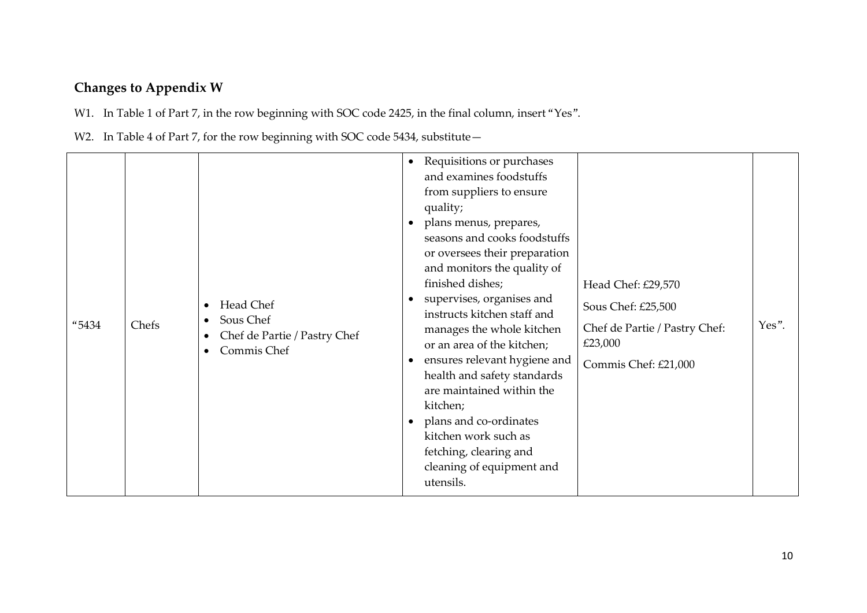# **Changes to Appendix W**

W1. In Table 1 of Part 7, in the row beginning with SOC code 2425, in the final column, insert "Yes".

W2. In Table 4 of Part 7, for the row beginning with SOC code 5434, substitute-

| "5434 | Chefs | Head Chef<br>$\bullet$<br>Sous Chef<br>$\bullet$<br>Chef de Partie / Pastry Chef<br>$\bullet$<br>Commis Chef<br>$\bullet$ | $\bullet$<br>$\bullet$<br>$\bullet$<br>$\bullet$<br>$\bullet$ | Requisitions or purchases<br>and examines foodstuffs<br>from suppliers to ensure<br>quality;<br>plans menus, prepares,<br>seasons and cooks foodstuffs<br>or oversees their preparation<br>and monitors the quality of<br>finished dishes;<br>supervises, organises and<br>instructs kitchen staff and<br>manages the whole kitchen<br>or an area of the kitchen;<br>ensures relevant hygiene and<br>health and safety standards<br>are maintained within the<br>kitchen;<br>plans and co-ordinates<br>kitchen work such as<br>fetching, clearing and<br>cleaning of equipment and<br>utensils. | Head Chef: £29,570<br>Sous Chef: £25,500<br>Chef de Partie / Pastry Chef:<br>£23,000<br>Commis Chef: £21,000 | Yes". |
|-------|-------|---------------------------------------------------------------------------------------------------------------------------|---------------------------------------------------------------|-------------------------------------------------------------------------------------------------------------------------------------------------------------------------------------------------------------------------------------------------------------------------------------------------------------------------------------------------------------------------------------------------------------------------------------------------------------------------------------------------------------------------------------------------------------------------------------------------|--------------------------------------------------------------------------------------------------------------|-------|
|-------|-------|---------------------------------------------------------------------------------------------------------------------------|---------------------------------------------------------------|-------------------------------------------------------------------------------------------------------------------------------------------------------------------------------------------------------------------------------------------------------------------------------------------------------------------------------------------------------------------------------------------------------------------------------------------------------------------------------------------------------------------------------------------------------------------------------------------------|--------------------------------------------------------------------------------------------------------------|-------|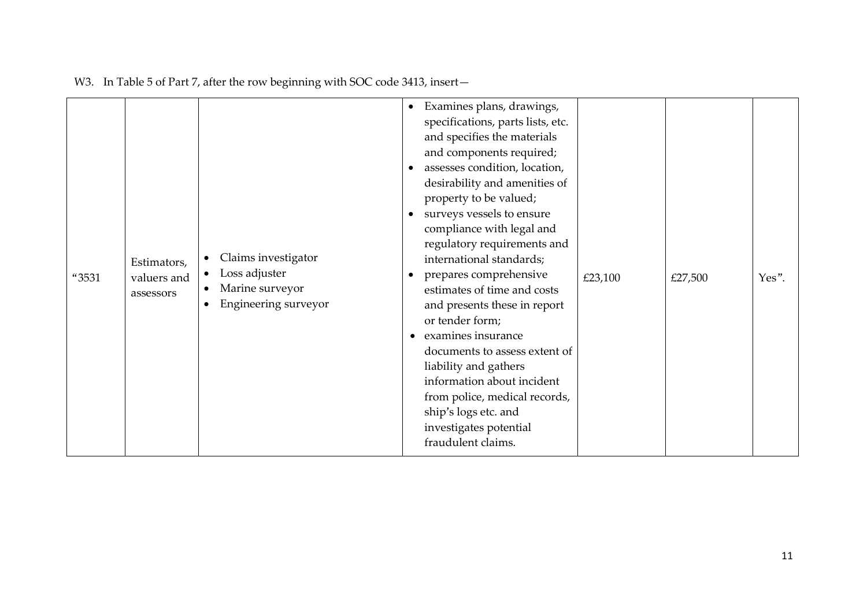| "3531 | Estimators,<br>valuers and<br>assessors | Claims investigator<br>$\bullet$<br>Loss adjuster<br>$\bullet$<br>Marine surveyor<br>$\bullet$<br>Engineering surveyor<br>$\bullet$ | Examines plans, drawings,<br>$\bullet$<br>specifications, parts lists, etc.<br>and specifies the materials<br>and components required;<br>assesses condition, location,<br>desirability and amenities of<br>property to be valued;<br>surveys vessels to ensure<br>$\bullet$<br>compliance with legal and<br>regulatory requirements and<br>international standards;<br>prepares comprehensive<br>estimates of time and costs<br>and presents these in report<br>or tender form;<br>examines insurance<br>$\bullet$<br>documents to assess extent of<br>liability and gathers<br>information about incident<br>from police, medical records,<br>ship's logs etc. and<br>investigates potential<br>fraudulent claims. | £23,100 | £27,500 | Yes". |
|-------|-----------------------------------------|-------------------------------------------------------------------------------------------------------------------------------------|----------------------------------------------------------------------------------------------------------------------------------------------------------------------------------------------------------------------------------------------------------------------------------------------------------------------------------------------------------------------------------------------------------------------------------------------------------------------------------------------------------------------------------------------------------------------------------------------------------------------------------------------------------------------------------------------------------------------|---------|---------|-------|
|-------|-----------------------------------------|-------------------------------------------------------------------------------------------------------------------------------------|----------------------------------------------------------------------------------------------------------------------------------------------------------------------------------------------------------------------------------------------------------------------------------------------------------------------------------------------------------------------------------------------------------------------------------------------------------------------------------------------------------------------------------------------------------------------------------------------------------------------------------------------------------------------------------------------------------------------|---------|---------|-------|

W3. In Table 5 of Part 7, after the row beginning with SOC code 3413, insert-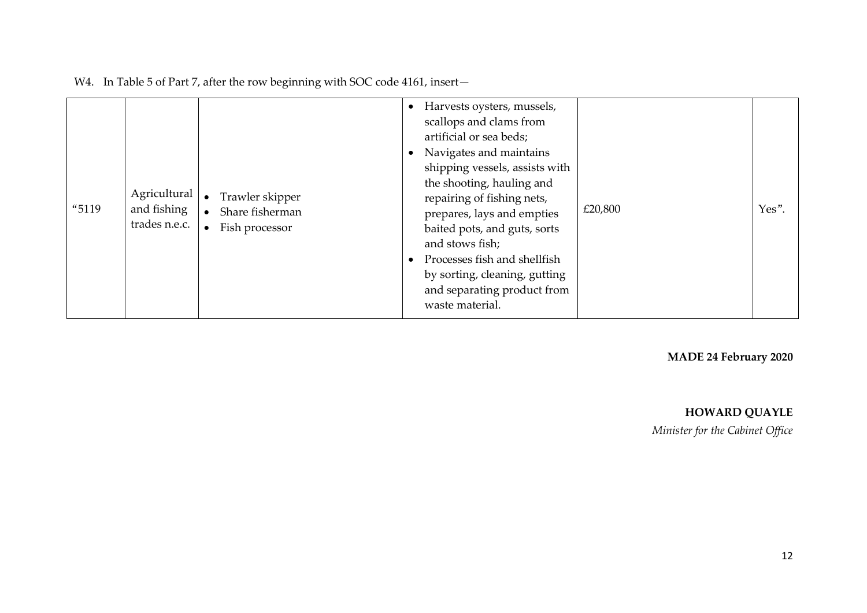| "5119 | Agricultural<br>and fishing<br>trades n.e.c. | Trawler skipper<br>$\bullet$<br>Share fisherman<br>Fish processor<br>$\bullet$ |  | Harvests oysters, mussels,<br>scallops and clams from<br>artificial or sea beds;<br>Navigates and maintains<br>shipping vessels, assists with<br>the shooting, hauling and<br>repairing of fishing nets,<br>prepares, lays and empties<br>baited pots, and guts, sorts<br>and stows fish;<br>Processes fish and shellfish<br>by sorting, cleaning, gutting<br>and separating product from<br>waste material. | £20,800 | Yes". |
|-------|----------------------------------------------|--------------------------------------------------------------------------------|--|--------------------------------------------------------------------------------------------------------------------------------------------------------------------------------------------------------------------------------------------------------------------------------------------------------------------------------------------------------------------------------------------------------------|---------|-------|
|-------|----------------------------------------------|--------------------------------------------------------------------------------|--|--------------------------------------------------------------------------------------------------------------------------------------------------------------------------------------------------------------------------------------------------------------------------------------------------------------------------------------------------------------------------------------------------------------|---------|-------|

W4. In Table 5 of Part 7, after the row beginning with SOC code 4161, insert-

**MADE 24 February 2020**

### **HOWARD QUAYLE**

*Minister for the Cabinet Office*